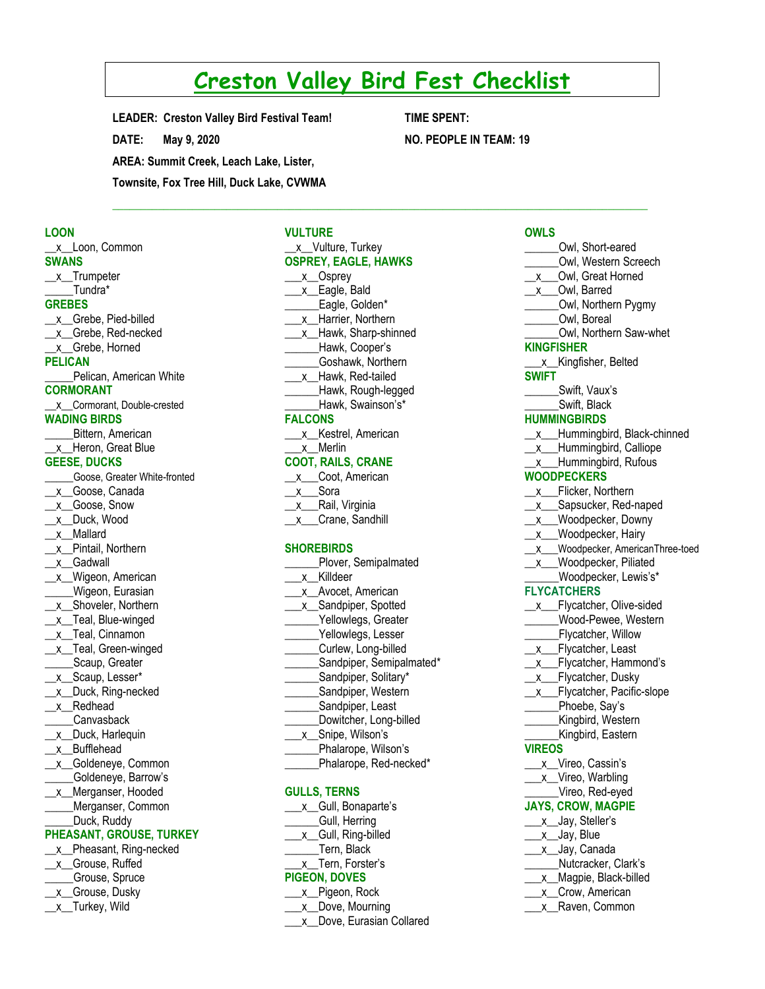# **Creston Valley Bird Fest Checklist**

 $\mathcal{L}_\mathcal{L} = \{ \mathcal{L}_\mathcal{L} = \{ \mathcal{L}_\mathcal{L} = \{ \mathcal{L}_\mathcal{L} = \{ \mathcal{L}_\mathcal{L} = \{ \mathcal{L}_\mathcal{L} = \{ \mathcal{L}_\mathcal{L} = \{ \mathcal{L}_\mathcal{L} = \{ \mathcal{L}_\mathcal{L} = \{ \mathcal{L}_\mathcal{L} = \{ \mathcal{L}_\mathcal{L} = \{ \mathcal{L}_\mathcal{L} = \{ \mathcal{L}_\mathcal{L} = \{ \mathcal{L}_\mathcal{L} = \{ \mathcal{L}_\mathcal{$ 

**LEADER: Creston Valley Bird Festival Team! DATE: May 9, 2020 AREA: Summit Creek, Leach Lake, Lister, Townsite, Fox Tree Hill, Duck Lake, CVWMA**

**TIME SPENT: NO. PEOPLE IN TEAM: 19**

# **LOON**

\_\_x\_\_Loon, Common **SWANS** \_\_x\_\_Trumpeter \_\_\_\_\_Tundra\* **GREBES** \_\_x\_\_Grebe, Pied-billed \_\_x\_\_Grebe, Red-necked \_\_x\_\_Grebe, Horned **PELICAN \_\_\_\_\_**Pelican, American White **CORMORANT** \_\_x\_\_Cormorant, Double-crested **WADING BIRDS \_\_\_\_**\_Bittern, American \_\_x\_\_Heron, Great Blue **GEESE, DUCKS** \_\_\_\_\_Goose, Greater White-fronted \_x\_Goose, Canada \_\_x\_\_Goose, Snow \_\_x\_\_Duck, Wood \_\_x\_\_Mallard \_\_x\_\_Pintail, Northern \_\_x\_\_Gadwall \_x\_Wigeon, American \_\_\_\_\_Wigeon, Eurasian \_x\_Shoveler, Northern \_x\_Teal, Blue-winged \_x\_Teal, Cinnamon \_\_x\_\_Teal, Green-winged Scaup, Greater \_x\_Scaup, Lesser\* \_x\_Duck, Ring-necked \_\_x\_\_Redhead \_\_\_\_\_Canvasback \_\_x\_\_Duck, Harlequin \_\_x\_\_Bufflehead \_\_x\_\_Goldeneye, Common Goldeneye, Barrow's \_\_x\_\_Merganser, Hooded Merganser, Common Duck, Ruddy **PHEASANT, GROUSE, TURKEY** \_\_x\_Pheasant, Ring-necked \_\_x\_Grouse, Ruffed

\_\_\_\_\_Grouse, Spruce \_\_x\_Grouse, Dusky x\_Turkey, Wild

#### **VULTURE** \_\_x\_Vulture, Turkey

| <b>OSPREY, EAGLE, HAWKS</b> |                           |  |
|-----------------------------|---------------------------|--|
|                             | x Osprey                  |  |
|                             | x Eagle, Bald             |  |
|                             | Eagle, Golden*            |  |
|                             | x_Harrier, Northern       |  |
|                             | x_Hawk, Sharp-shinned     |  |
|                             | Hawk, Cooper's            |  |
|                             | Goshawk, Northern         |  |
|                             | x Hawk, Red-tailed        |  |
|                             | Hawk, Rough-legged        |  |
|                             | Hawk, Swainson's*         |  |
| <b>FALCONS</b>              |                           |  |
|                             | x Kestrel, American       |  |
|                             | x Merlin                  |  |
|                             | <b>COOT, RAILS, CRANE</b> |  |
|                             | x Coot, American          |  |
| _x___Sora                   |                           |  |
|                             | _x__Rail, Virginia        |  |
|                             | x Crane, Sandhill         |  |
|                             | <b>SHOREBIRDS</b>         |  |
|                             | Plover, Semipalmated      |  |
| X.                          | Killdeer                  |  |

\_\_\_x\_\_Avocet, American \_\_\_x\_\_Sandpiper, Spotted Yellowlegs, Greater Yellowlegs, Lesser Curlew, Long-billed Sandpiper, Semipalmated\* Sandpiper, Solitary\*

- Sandpiper, Western
- Sandpiper, Least
- \_\_\_\_\_\_Dowitcher, Long-billed \_\_\_x\_\_Snipe, Wilson's
- Phalarope, Wilson's
- \_\_\_\_\_\_Phalarope, Red-necked\*

#### **GULLS, TERNS**

|                      | x Gull, Bonaparte's |  |
|----------------------|---------------------|--|
|                      | Gull, Herring       |  |
|                      | x Gull, Ring-billed |  |
|                      | Tern, Black         |  |
|                      | x_Tern, Forster's   |  |
| <b>PIGEON, DOVES</b> |                     |  |
|                      | x_Pigeon, Rock      |  |

- \_\_\_x\_\_Dove, Mourning
- \_\_\_x\_\_Dove, Eurasian Collared

### **OWLS** \_\_\_\_\_\_Owl, Short-eared \_\_\_\_\_\_Owl, Western Screech \_\_x\_\_\_Owl, Great Horned \_\_x\_\_\_Owl, Barred \_\_\_\_\_\_Owl, Northern Pygmy Owl, Boreal \_\_\_\_\_\_Owl, Northern Saw-whet **KINGFISHER** \_\_\_x\_\_Kingfisher, Belted **SWIFT \_\_\_\_\_**\_Swift, Vaux's Swift, Black **HUMMINGBIRDS** \_\_x\_\_\_Hummingbird, Black-chinned \_x\_\_Hummingbird, Calliope \_\_x\_\_\_Hummingbird, Rufous **WOODPECKERS** \_x\_\_Flicker, Northern \_x\_\_Sapsucker, Red-naped \_\_x\_\_\_Woodpecker, Downy \_x\_\_Woodpecker, Hairy \_\_x\_\_\_Woodpecker, AmericanThree-toed \_x\_\_Woodpecker, Piliated \_\_\_\_\_\_Woodpecker, Lewis's\* **FLYCATCHERS** \_\_x\_\_\_Flycatcher, Olive-sided \_\_\_\_\_\_Wood-Pewee, Western **\_\_\_\_\_\_**Flycatcher, Willow x Flycatcher, Least \_\_x\_\_Flycatcher, Hammond's \_x\_\_Flycatcher, Dusky x Flycatcher, Pacific-slope Phoebe, Say's \_\_\_\_\_\_Kingbird, Western Kingbird, Eastern **VIREOS** \_\_\_x\_Vireo, Cassin's \_\_x\_Vireo, Warbling \_\_\_\_\_\_Vireo, Red-eyed **JAYS, CROW, MAGPIE** \_\_\_x\_\_Jay, Steller's \_\_x\_\_Jay, Blue x Jay, Canada \_\_\_\_\_\_Nutcracker, Clark's \_x\_\_Magpie, Black-billed x Crow, American

\_\_\_x\_\_Raven, Common